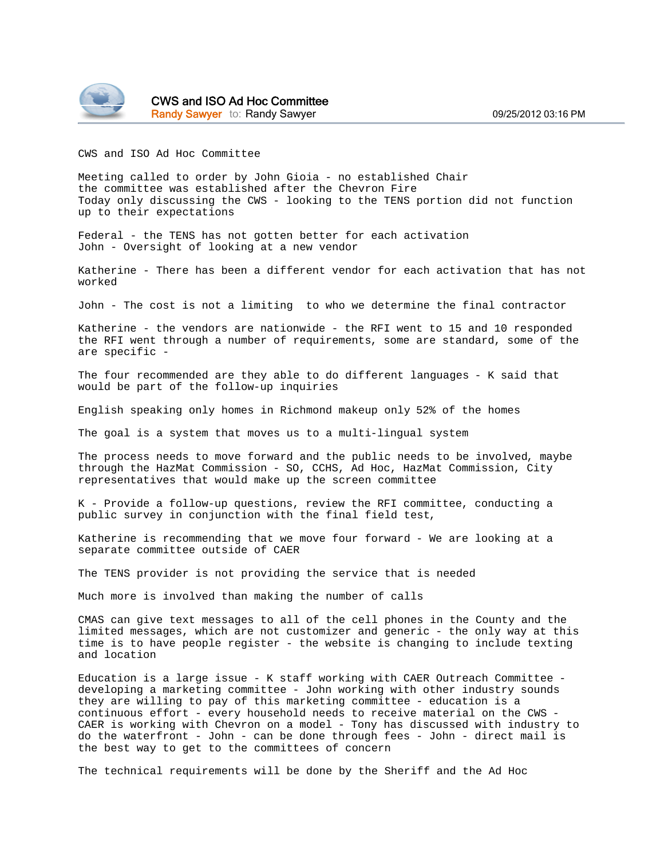

CWS and ISO Ad Hoc Committee Randy Sawyer to: Randy Sawyer **by Sawyer 199/25/2012 03:16 PM** 

CWS and ISO Ad Hoc Committee

Meeting called to order by John Gioia - no established Chair the committee was established after the Chevron Fire Today only discussing the CWS - looking to the TENS portion did not function up to their expectations

Federal - the TENS has not gotten better for each activation John - Oversight of looking at a new vendor

Katherine - There has been a different vendor for each activation that has not worked

John - The cost is not a limiting to who we determine the final contractor

Katherine - the vendors are nationwide - the RFI went to 15 and 10 responded the RFI went through a number of requirements, some are standard, some of the are specific -

The four recommended are they able to do different languages - K said that would be part of the follow-up inquiries

English speaking only homes in Richmond makeup only 52% of the homes

The goal is a system that moves us to a multi-lingual system

The process needs to move forward and the public needs to be involved, maybe through the HazMat Commission - SO, CCHS, Ad Hoc, HazMat Commission, City representatives that would make up the screen committee

K - Provide a follow-up questions, review the RFI committee, conducting a public survey in conjunction with the final field test,

Katherine is recommending that we move four forward - We are looking at a separate committee outside of CAER

The TENS provider is not providing the service that is needed

Much more is involved than making the number of calls

CMAS can give text messages to all of the cell phones in the County and the limited messages, which are not customizer and generic - the only way at this time is to have people register - the website is changing to include texting and location

Education is a large issue - K staff working with CAER Outreach Committee developing a marketing committee - John working with other industry sounds they are willing to pay of this marketing committee - education is a continuous effort - every household needs to receive material on the CWS - CAER is working with Chevron on a model - Tony has discussed with industry to do the waterfront - John - can be done through fees - John - direct mail is the best way to get to the committees of concern

The technical requirements will be done by the Sheriff and the Ad Hoc